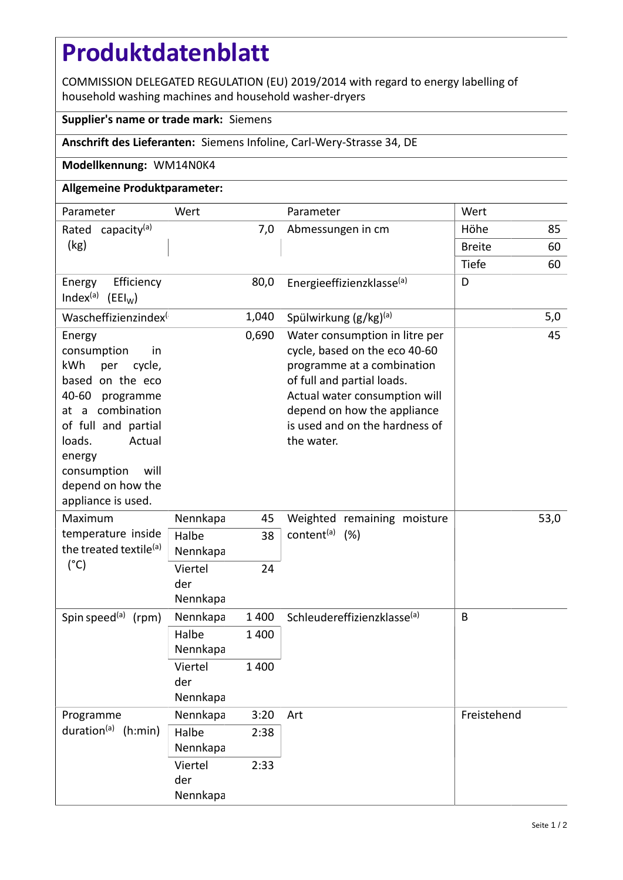# **Produktdatenblatt**

COMMISSION DELEGATED REGULATION (EU) 2019/2014 with regard to energy labelling of household washing machines and household washer-dryers

### **Supplier's name or trade mark:** Siemens

# **Anschrift des Lieferanten:** Siemens Infoline, Carl-Wery-Strasse 34, DE

#### **Modellkennung:** WM14N0K4

## **Allgemeine Produktparameter:**

| Parameter                                                                                                                                                                                                                             | Wert                       |         | Parameter                                                                                                                                                                                                                                   | Wert          |     |
|---------------------------------------------------------------------------------------------------------------------------------------------------------------------------------------------------------------------------------------|----------------------------|---------|---------------------------------------------------------------------------------------------------------------------------------------------------------------------------------------------------------------------------------------------|---------------|-----|
| Rated capacity <sup>(a)</sup>                                                                                                                                                                                                         | 7,0                        |         | Abmessungen in cm                                                                                                                                                                                                                           | Höhe          | 85  |
| (kg)                                                                                                                                                                                                                                  |                            |         |                                                                                                                                                                                                                                             | <b>Breite</b> | 60  |
|                                                                                                                                                                                                                                       |                            |         |                                                                                                                                                                                                                                             | Tiefe         | 60  |
| Efficiency<br>Energy<br>Index <sup>(a)</sup> (EEI <sub>W</sub> )                                                                                                                                                                      |                            | 80,0    | Energieeffizienzklasse(a)                                                                                                                                                                                                                   | D             |     |
| Wascheffizienzindex                                                                                                                                                                                                                   |                            | 1,040   | Spülwirkung $(g/kg)^{(a)}$                                                                                                                                                                                                                  |               | 5,0 |
| Energy<br>consumption<br>in<br>kWh<br>per<br>cycle,<br>based on the eco<br>40-60 programme<br>at a combination<br>of full and partial<br>loads.<br>Actual<br>energy<br>will<br>consumption<br>depend on how the<br>appliance is used. |                            | 0,690   | Water consumption in litre per<br>cycle, based on the eco 40-60<br>programme at a combination<br>of full and partial loads.<br>Actual water consumption will<br>depend on how the appliance<br>is used and on the hardness of<br>the water. |               | 45  |
| Maximum<br>temperature inside<br>the treated textile <sup>(a)</sup><br>$(^{\circ}C)$                                                                                                                                                  | Nennkapa                   | 45      | Weighted remaining moisture<br>content <sup>(a)</sup> (%)                                                                                                                                                                                   | 53,0          |     |
|                                                                                                                                                                                                                                       | Halbe<br>Nennkapa          | 38      |                                                                                                                                                                                                                                             |               |     |
|                                                                                                                                                                                                                                       | Viertel<br>der<br>Nennkapa | 24      |                                                                                                                                                                                                                                             |               |     |
| Spin speed <sup>(a)</sup><br>(rpm)                                                                                                                                                                                                    | Nennkapa                   | 1 4 0 0 | Schleudereffizienzklasse <sup>(a)</sup>                                                                                                                                                                                                     | B             |     |
|                                                                                                                                                                                                                                       | Halbe<br>Nennkapa          | 1 400   |                                                                                                                                                                                                                                             |               |     |
|                                                                                                                                                                                                                                       | Viertel<br>der<br>Nennkapa | 1 400   |                                                                                                                                                                                                                                             |               |     |
| Programme<br>duration <sup>(a)</sup> (h:min)                                                                                                                                                                                          | Nennkapa                   | 3:20    | Art                                                                                                                                                                                                                                         | Freistehend   |     |
|                                                                                                                                                                                                                                       | Halbe<br>Nennkapa          | 2:38    |                                                                                                                                                                                                                                             |               |     |
|                                                                                                                                                                                                                                       | Viertel<br>der<br>Nennkapa | 2:33    |                                                                                                                                                                                                                                             |               |     |